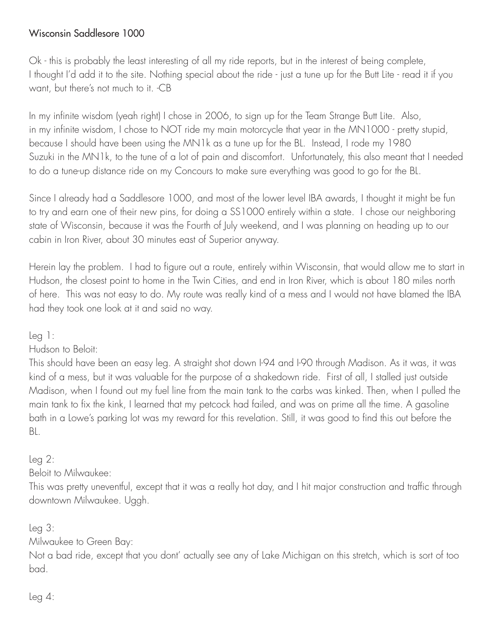## Wisconsin Saddlesore 1000

Ok - this is probably the least interesting of all my ride reports, but in the interest of being complete, I thought I'd add it to the site. Nothing special about the ride - just a tune up for the Butt Lite - read it if you want, but there's not much to it. -CB

In my infinite wisdom (yeah right) I chose in 2006, to sign up for the Team Strange Butt Lite. Also, in my infinite wisdom, I chose to NOT ride my main motorcycle that year in the MN1000 - pretty stupid, because I should have been using the MN1k as a tune up for the BL. Instead, I rode my 1980 Suzuki in the MN1k, to the tune of a lot of pain and discomfort. Unfortunately, this also meant that I needed to do a tune-up distance ride on my Concours to make sure everything was good to go for the BL.

Since I already had a Saddlesore 1000, and most of the lower level IBA awards, I thought it might be fun to try and earn one of their new pins, for doing a SS1000 entirely within a state. I chose our neighboring state of Wisconsin, because it was the Fourth of July weekend, and I was planning on heading up to our cabin in Iron River, about 30 minutes east of Superior anyway.

Herein lay the problem. I had to figure out a route, entirely within Wisconsin, that would allow me to start in Hudson, the closest point to home in the Twin Cities, and end in Iron River, which is about 180 miles north of here. This was not easy to do. My route was really kind of a mess and I would not have blamed the IBA had they took one look at it and said no way.

Leg 1:

Hudson to Beloit:

This should have been an easy leg. A straight shot down I-94 and I-90 through Madison. As it was, it was kind of a mess, but it was valuable for the purpose of a shakedown ride. First of all, I stalled just outside Madison, when I found out my fuel line from the main tank to the carbs was kinked. Then, when I pulled the main tank to fix the kink, I learned that my petcock had failed, and was on prime all the time. A gasoline bath in a Lowe's parking lot was my reward for this revelation. Still, it was good to find this out before the BL.

## Leg 2:

Beloit to Milwaukee:

This was pretty uneventful, except that it was a really hot day, and I hit major construction and traffic through downtown Milwaukee. Uggh.

Leg 3:

Milwaukee to Green Bay:

Not a bad ride, except that you dont' actually see any of Lake Michigan on this stretch, which is sort of too bad.

 $Leg 4:$